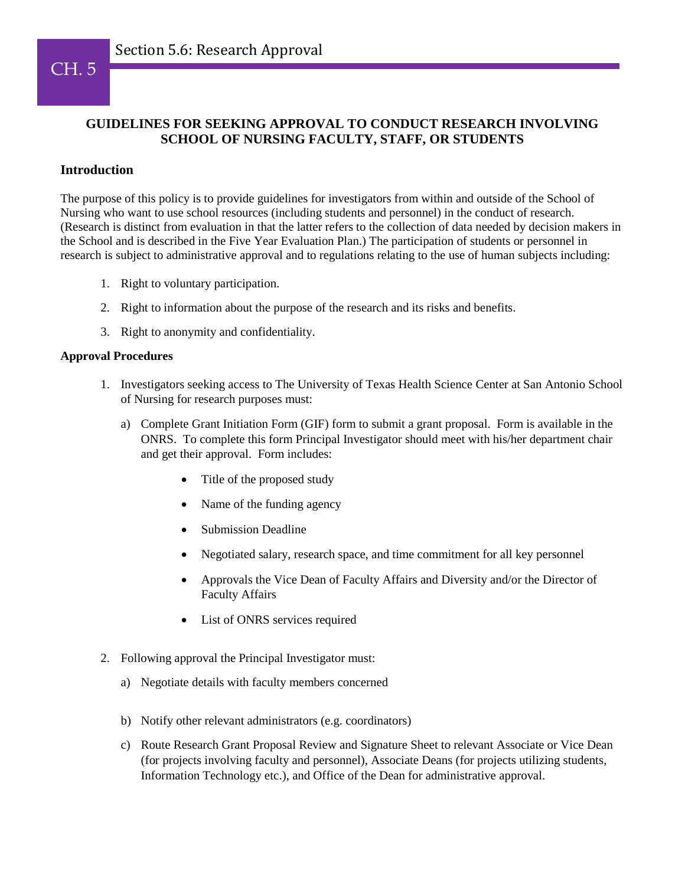# CH. 5

## **GUIDELINES FOR SEEKING APPROVAL TO CONDUCT RESEARCH INVOLVING SCHOOL OF NURSING FACULTY, STAFF, OR STUDENTS**

## **Introduction**

The purpose of this policy is to provide guidelines for investigators from within and outside of the School of Nursing who want to use school resources (including students and personnel) in the conduct of research. (Research is distinct from evaluation in that the latter refers to the collection of data needed by decision makers in the School and is described in the Five Year Evaluation Plan.) The participation of students or personnel in research is subject to administrative approval and to regulations relating to the use of human subjects including:

- 1. Right to voluntary participation.
- 2. Right to information about the purpose of the research and its risks and benefits.
- 3. Right to anonymity and confidentiality.

### **Approval Procedures**

- 1. Investigators seeking access to The University of Texas Health Science Center at San Antonio School of Nursing for research purposes must:
	- a) Complete Grant Initiation Form (GIF) form to submit a grant proposal. Form is available in the ONRS. To complete this form Principal Investigator should meet with his/her department chair and get their approval. Form includes:
		- Title of the proposed study
		- Name of the funding agency
		- Submission Deadline
		- Negotiated salary, research space, and time commitment for all key personnel
		- Approvals the Vice Dean of Faculty Affairs and Diversity and/or the Director of Faculty Affairs
		- List of ONRS services required
- 2. Following approval the Principal Investigator must:
	- a) Negotiate details with faculty members concerned
	- b) Notify other relevant administrators (e.g. coordinators)
	- c) Route Research Grant Proposal Review and Signature Sheet to relevant Associate or Vice Dean (for projects involving faculty and personnel), Associate Deans (for projects utilizing students, Information Technology etc.), and Office of the Dean for administrative approval.